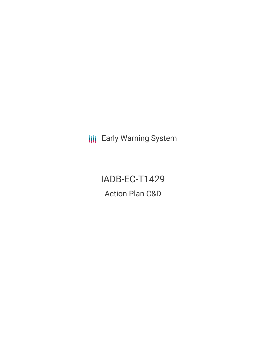**III** Early Warning System

IADB-EC-T1429 Action Plan C&D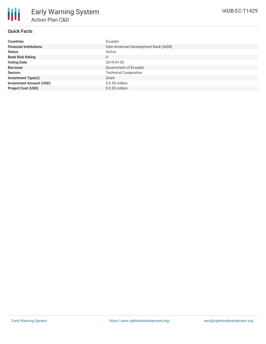## **Quick Facts**

| <b>Countries</b>               | Ecuador                                |
|--------------------------------|----------------------------------------|
| <b>Financial Institutions</b>  | Inter-American Development Bank (IADB) |
| <b>Status</b>                  | Active                                 |
| <b>Bank Risk Rating</b>        | U                                      |
| <b>Voting Date</b>             | 2019-01-02                             |
| <b>Borrower</b>                | Government of Ecuador                  |
| <b>Sectors</b>                 | <b>Technical Cooperation</b>           |
| <b>Investment Type(s)</b>      | Grant                                  |
| <b>Investment Amount (USD)</b> | $$0.50$ million                        |
| <b>Project Cost (USD)</b>      | $$0.50$ million                        |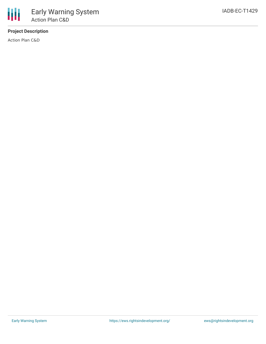## **Project Description**

Action Plan C&D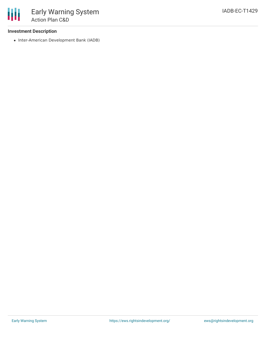• Inter-American Development Bank (IADB)